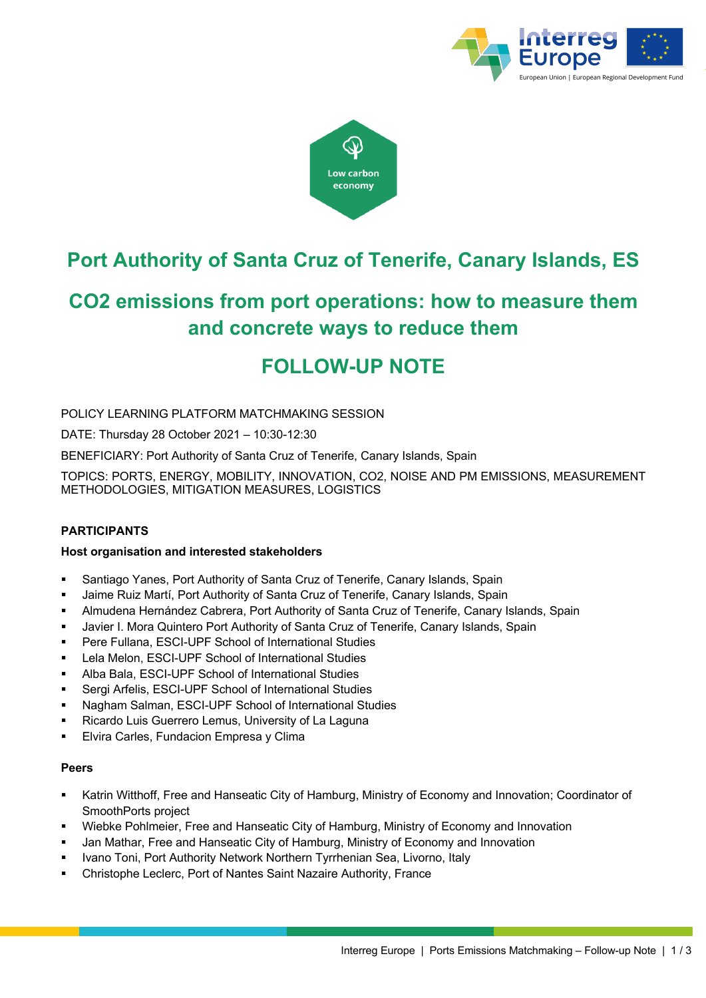



# **Port Authority of Santa Cruz of Tenerife, Canary Islands, ES**

# **CO2 emissions from port operations: how to measure them and concrete ways to reduce them**

# **FOLLOW-UP NOTE**

POLICY LEARNING PLATFORM MATCHMAKING SESSION

DATE: Thursday 28 October 2021 – 10:30-12:30

BENEFICIARY: Port Authority of Santa Cruz of Tenerife, Canary Islands, Spain

TOPICS: PORTS, ENERGY, MOBILITY, INNOVATION, CO2, NOISE AND PM EMISSIONS, MEASUREMENT METHODOLOGIES, MITIGATION MEASURES, LOGISTICS

# **PARTICIPANTS**

#### **Host organisation and interested stakeholders**

- § Santiago Yanes, Port Authority of Santa Cruz of Tenerife, Canary Islands, Spain
- § Jaime Ruiz Martí, Port Authority of Santa Cruz of Tenerife, Canary Islands, Spain
- § Almudena Hernández Cabrera, Port Authority of Santa Cruz of Tenerife, Canary Islands, Spain
- Javier I. Mora Quintero Port Authority of Santa Cruz of Tenerife, Canary Islands, Spain
- § Pere Fullana, ESCI-UPF School of International Studies
- Lela Melon, ESCI-UPF School of International Studies
- § Alba Bala, ESCI-UPF School of International Studies
- § Sergi Arfelis, ESCI-UPF School of International Studies
- § Nagham Salman, ESCI-UPF School of International Studies
- Ricardo Luis Guerrero Lemus, University of La Laguna
- **Elvira Carles, Fundacion Empresa y Clima**

#### **Peers**

- § Katrin Witthoff, Free and Hanseatic City of Hamburg, Ministry of Economy and Innovation; Coordinator of SmoothPorts project
- § Wiebke Pohlmeier, Free and Hanseatic City of Hamburg, Ministry of Economy and Innovation
- § Jan Mathar, Free and Hanseatic City of Hamburg, Ministry of Economy and Innovation
- § Ivano Toni, Port Authority Network Northern Tyrrhenian Sea, Livorno, Italy
- § Christophe Leclerc, Port of Nantes Saint Nazaire Authority, France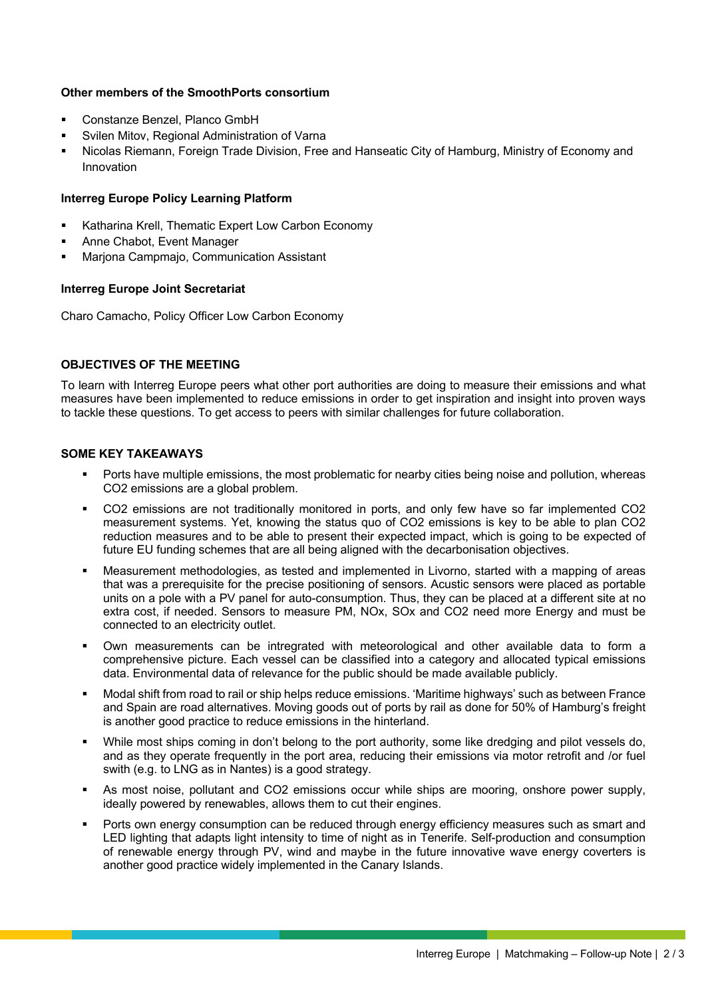# **Other members of the SmoothPorts consortium**

- § Constanze Benzel, Planco GmbH
- § Svilen Mitov, Regional Administration of Varna
- Nicolas Riemann, Foreign Trade Division, Free and Hanseatic City of Hamburg, Ministry of Economy and Innovation

#### **Interreg Europe Policy Learning Platform**

- Katharina Krell, Thematic Expert Low Carbon Economy
- § Anne Chabot, Event Manager
- § Marjona Campmajo, Communication Assistant

#### **Interreg Europe Joint Secretariat**

Charo Camacho, Policy Officer Low Carbon Economy

# **OBJECTIVES OF THE MEETING**

To learn with Interreg Europe peers what other port authorities are doing to measure their emissions and what measures have been implemented to reduce emissions in order to get inspiration and insight into proven ways to tackle these questions. To get access to peers with similar challenges for future collaboration.

#### **SOME KEY TAKEAWAYS**

- § Ports have multiple emissions, the most problematic for nearby cities being noise and pollution, whereas CO2 emissions are a global problem.
- § CO2 emissions are not traditionally monitored in ports, and only few have so far implemented CO2 measurement systems. Yet, knowing the status quo of CO2 emissions is key to be able to plan CO2 reduction measures and to be able to present their expected impact, which is going to be expected of future EU funding schemes that are all being aligned with the decarbonisation objectives.
- § Measurement methodologies, as tested and implemented in Livorno, started with a mapping of areas that was a prerequisite for the precise positioning of sensors. Acustic sensors were placed as portable units on a pole with a PV panel for auto-consumption. Thus, they can be placed at a different site at no extra cost, if needed. Sensors to measure PM, NOx, SOx and CO2 need more Energy and must be connected to an electricity outlet.
- Own measurements can be intregrated with meteorological and other available data to form a comprehensive picture. Each vessel can be classified into a category and allocated typical emissions data. Environmental data of relevance for the public should be made available publicly.
- § Modal shift from road to rail or ship helps reduce emissions. 'Maritime highways' such as between France and Spain are road alternatives. Moving goods out of ports by rail as done for 50% of Hamburg's freight is another good practice to reduce emissions in the hinterland.
- While most ships coming in don't belong to the port authority, some like dredging and pilot vessels do, and as they operate frequently in the port area, reducing their emissions via motor retrofit and /or fuel swith (e.g. to LNG as in Nantes) is a good strategy.
- As most noise, pollutant and CO2 emissions occur while ships are mooring, onshore power supply, ideally powered by renewables, allows them to cut their engines.
- Ports own energy consumption can be reduced through energy efficiency measures such as smart and LED lighting that adapts light intensity to time of night as in Tenerife. Self-production and consumption of renewable energy through PV, wind and maybe in the future innovative wave energy coverters is another good practice widely implemented in the Canary Islands.